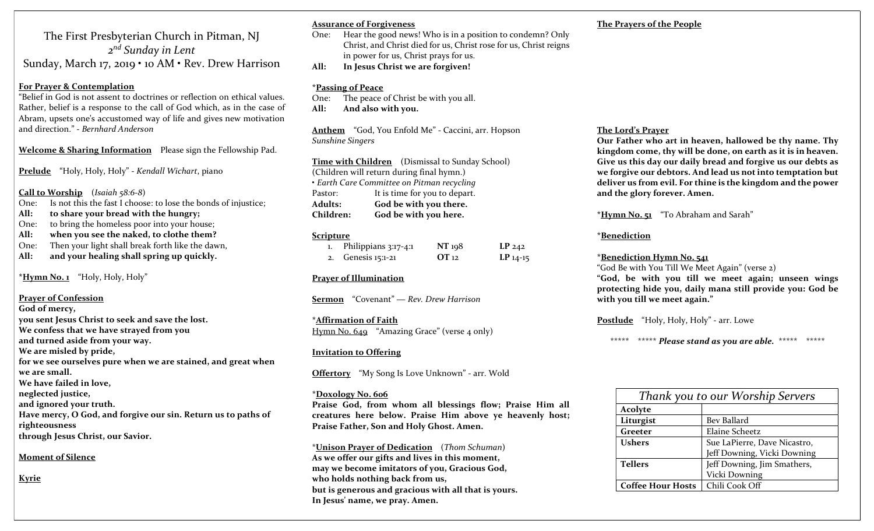The First Presbyterian Church in Pitman, NJ 2<sup>nd</sup> Sunday in Lent Sunday, March 17, 2019 • 10 AM • Rev. Drew Harrison

#### For Prayer & Contemplation

"Belief in God is not assent to doctrines or reflection on ethical values. Rather, belief is a response to the call of God which, as in the case of Abram, upsets one's accustomed way of life and gives new motivation and direction." - Bernhard Anderson

Welcome & Sharing Information Please sign the Fellowship Pad.

Prelude "Holy, Holy, Holy" - Kendall Wichart, piano

Call to Worship (Isaiah 58:6-8)

One: Is not this the fast I choose: to lose the bonds of injustice;

- All: to share your bread with the hungry;
- One: to bring the homeless poor into your house;
- All: when you see the naked, to clothe them?
- One: Then your light shall break forth like the dawn,
- All: and your healing shall spring up quickly.

\*Hymn No.1 "Holy, Holy, Holy"

## Prayer of Confession

God of mercy, you sent Jesus Christ to seek and save the lost. We confess that we have strayed from you and turned aside from your way. We are misled by pride, for we see ourselves pure when we are stained, and great when we are small. We have failed in love, neglected justice, and ignored your truth. Have mercy, O God, and forgive our sin. Return us to paths of righteousness through Jesus Christ, our Savior.

#### Moment of Silence

**Kyrie** 

#### Assurance of Forgiveness

- One: Hear the good news! Who is in a position to condemn? Only Christ, and Christ died for us, Christ rose for us, Christ reigns in power for us, Christ prays for us.
- All: In Jesus Christ we are forgiven!

#### \*Passing of Peace

- One: The peace of Christ be with you all.
- All: And also with you.

Anthem "God, You Enfold Me" - Caccini, arr. Hopson Sunshine Singers

Time with Children (Dismissal to Sunday School) (Children will return during final hymn.) • Earth Care Committee on Pitman recycling Pastor: It is time for you to depart. Adults: God be with you there. Children: God be with you here.

#### Scripture

| Philippians 3:17-4:1 | NT 198    | LP <sub>242</sub> |
|----------------------|-----------|-------------------|
| 2. Genesis 15:1-21   | $OT_{12}$ | $LP$ 14-15        |

## Prayer of Illumination

Sermon "Covenant" — Rev. Drew Harrison

\*Affirmation of Faith Hymn No. 649 "Amazing Grace" (verse 4 only)

## Invitation to Offering

Offertory "My Song Is Love Unknown" - arr. Wold

#### \*Doxology No. 606

Praise God, from whom all blessings flow; Praise Him all creatures here below. Praise Him above ye heavenly host; Praise Father, Son and Holy Ghost. Amen.

\*Unison Prayer of Dedication (Thom Schuman) As we offer our gifts and lives in this moment, may we become imitators of you, Gracious God, who holds nothing back from us, but is generous and gracious with all that is yours. In Jesus' name, we pray. Amen.

## The Prayers of the People

## The Lord's Prayer

Our Father who art in heaven, hallowed be thy name. Thy kingdom come, thy will be done, on earth as it is in heaven. Give us this day our daily bread and forgive us our debts as we forgive our debtors. And lead us not into temptation but deliver us from evil. For thine is the kingdom and the power and the glory forever. Amen.

\*Hymn No. 51 "To Abraham and Sarah"

## \*Benediction

#### \*Benediction Hymn No. 541

"God Be with You Till We Meet Again" (verse 2) "God, be with you till we meet again; unseen wings protecting hide you, daily mana still provide you: God be with you till we meet again."

Postlude "Holy, Holy, Holy" - arr. Lowe

\*\*\*\*\* \*\*\*\*\* Please stand as you are able. \*\*\*\*\* \*\*\*\*\*

| Thank you to our Worship Servers |                              |  |  |
|----------------------------------|------------------------------|--|--|
| Acolyte                          |                              |  |  |
| Liturgist                        | Bev Ballard                  |  |  |
| Greeter                          | Elaine Scheetz               |  |  |
| <b>Ushers</b>                    | Sue LaPierre, Dave Nicastro, |  |  |
|                                  | Jeff Downing, Vicki Downing  |  |  |
| <b>Tellers</b>                   | Jeff Downing, Jim Smathers,  |  |  |
|                                  | Vicki Downing                |  |  |
| <b>Coffee Hour Hosts</b>         | Chili Cook Off               |  |  |